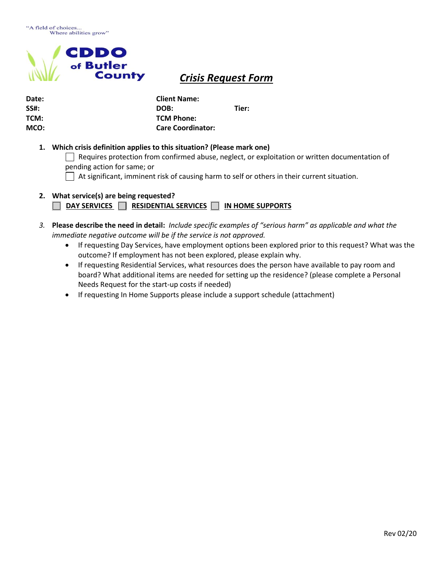

## *Crisis Request Form*

| Date: | <b>Client Name:</b>      |       |
|-------|--------------------------|-------|
| SS#:  | DOB:                     | Tier: |
| TCM:  | <b>TCM Phone:</b>        |       |
| MCO:  | <b>Care Coordinator:</b> |       |

## **1. Which crisis definition applies to this situation? (Please mark one)**

 $\Box$  Requires protection from confirmed abuse, neglect, or exploitation or written documentation of pending action for same; or

 $\Box$  At significant, imminent risk of causing harm to self or others in their current situation.

- **2. What service(s) are being requested?** 
	- **DAY SERVICES** RESIDENTIAL SERVICES NIN HOME SUPPORTS
- *3.* **Please describe the need in detail:** *Include specific examples of "serious harm" as applicable and what the immediate negative outcome will be if the service is not approved.*
	- If requesting Day Services, have employment options been explored prior to this request? What was the outcome? If employment has not been explored, please explain why.
	- If requesting Residential Services, what resources does the person have available to pay room and board? What additional items are needed for setting up the residence? (please complete a Personal Needs Request for the start-up costs if needed)
	- If requesting In Home Supports please include a support schedule (attachment)